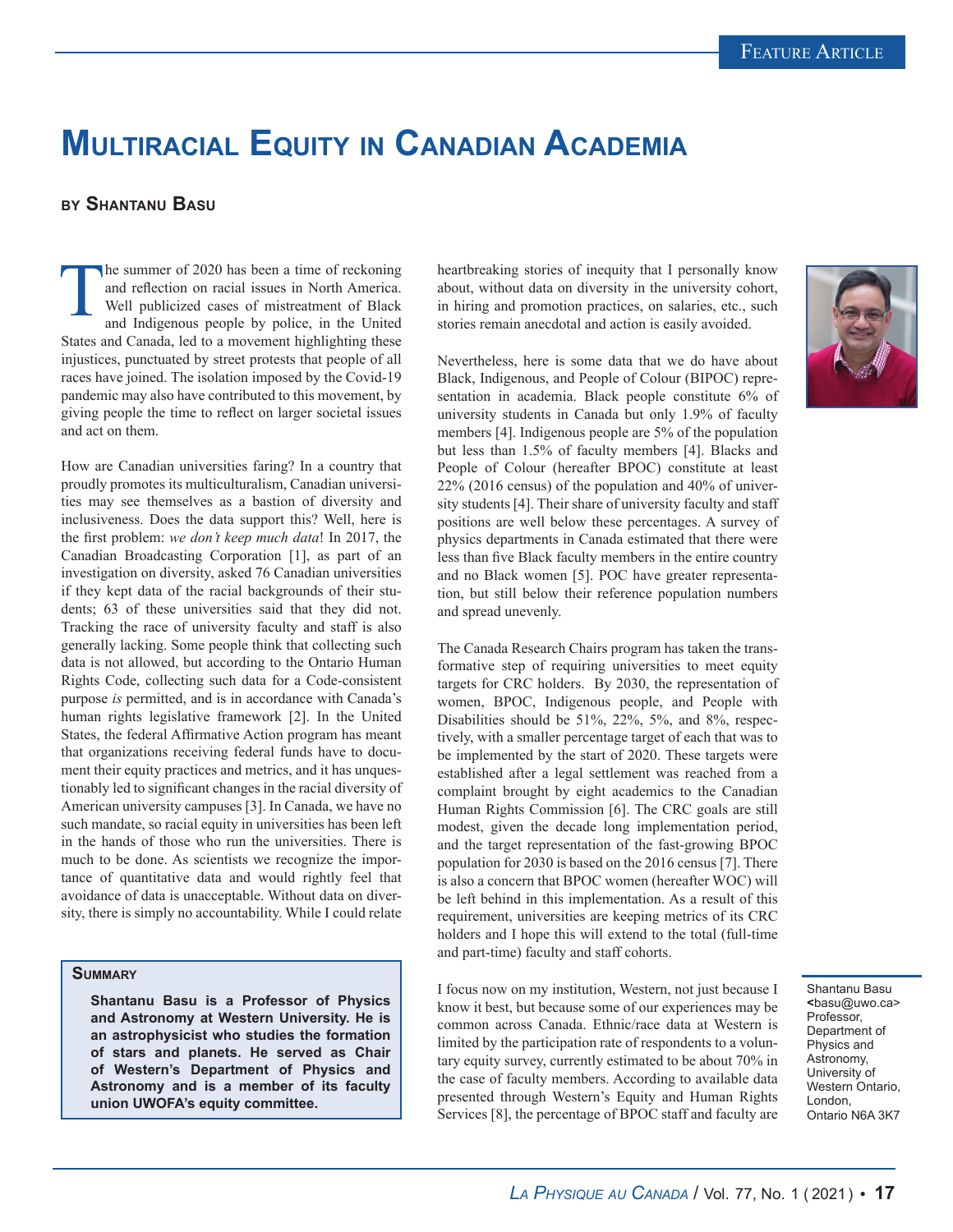## **Multiracial Equity in Canadian Academia**

## **by Shantanu Basu**

The summer of 2020 has been a time of reckoning<br>and reflection on racial issues in North America.<br>Well publicized cases of mistreatment of Black<br>and Indigenous people by police, in the United and reflection on racial issues in North America. Well publicized cases of mistreatment of Black and Indigenous people by police, in the United States and Canada, led to a movement highlighting these injustices, punctuated by street protests that people of all races have joined. The isolation imposed by the Covid-19 pandemic may also have contributed to this movement, by giving people the time to reflect on larger societal issues and act on them.

How are Canadian universities faring? In a country that proudly promotes its multiculturalism, Canadian universities may see themselves as a bastion of diversity and inclusiveness. Does the data support this? Well, here is the first problem: *we don't keep much data*! In 2017, the Canadian Broadcasting Corporation [1], as part of an investigation on diversity, asked 76 Canadian universities if they kept data of the racial backgrounds of their students; 63 of these universities said that they did not. Tracking the race of university faculty and staff is also generally lacking. Some people think that collecting such data is not allowed, but according to the Ontario Human Rights Code, collecting such data for a Code-consistent purpose *is* permitted, and is in accordance with Canada's human rights legislative framework [2]. In the United States, the federal Affirmative Action program has meant that organizations receiving federal funds have to document their equity practices and metrics, and it has unquestionably led to significant changes in the racial diversity of American university campuses [3]. In Canada, we have no such mandate, so racial equity in universities has been left in the hands of those who run the universities. There is much to be done. As scientists we recognize the importance of quantitative data and would rightly feel that avoidance of data is unacceptable. Without data on diversity, there is simply no accountability. While I could relate

## **Summary**

**Shantanu Basu is a Professor of Physics and Astronomy at Western University. He is an astrophysicist who studies the formation of stars and planets. He served as Chair of Western's Department of Physics and Astronomy and is a member of its faculty union UWOFA's equity committee.**

heartbreaking stories of inequity that I personally know about, without data on diversity in the university cohort, in hiring and promotion practices, on salaries, etc., such stories remain anecdotal and action is easily avoided.

Nevertheless, here is some data that we do have about Black, Indigenous, and People of Colour (BIPOC) representation in academia. Black people constitute 6% of university students in Canada but only 1.9% of faculty members [4]. Indigenous people are 5% of the population but less than 1.5% of faculty members [4]. Blacks and People of Colour (hereafter BPOC) constitute at least 22% (2016 census) of the population and 40% of university students [4]. Their share of university faculty and staff positions are well below these percentages. A survey of physics departments in Canada estimated that there were less than five Black faculty members in the entire country and no Black women [5]. POC have greater representation, but still below their reference population numbers and spread unevenly.

The Canada Research Chairs program has taken the transformative step of requiring universities to meet equity targets for CRC holders. By 2030, the representation of women, BPOC, Indigenous people, and People with Disabilities should be 51%, 22%, 5%, and 8%, respectively, with a smaller percentage target of each that was to be implemented by the start of 2020. These targets were established after a legal settlement was reached from a complaint brought by eight academics to the Canadian Human Rights Commission [6]. The CRC goals are still modest, given the decade long implementation period, and the target representation of the fast-growing BPOC population for 2030 is based on the 2016 census [7]. There is also a concern that BPOC women (hereafter WOC) will be left behind in this implementation. As a result of this requirement, universities are keeping metrics of its CRC holders and I hope this will extend to the total (full-time and part-time) faculty and staff cohorts.

I focus now on my institution, Western, not just because I know it best, but because some of our experiences may be common across Canada. Ethnic/race data at Western is limited by the participation rate of respondents to a voluntary equity survey, currently estimated to be about 70% in the case of faculty members. According to available data presented through Western's Equity and Human Rights Services [8], the percentage of BPOC staff and faculty are



Shantanu Basu **<**basu@uwo.ca> Professor, Department of Physics and Astronomy, University of Western Ontario, London, Ontario N6A 3K7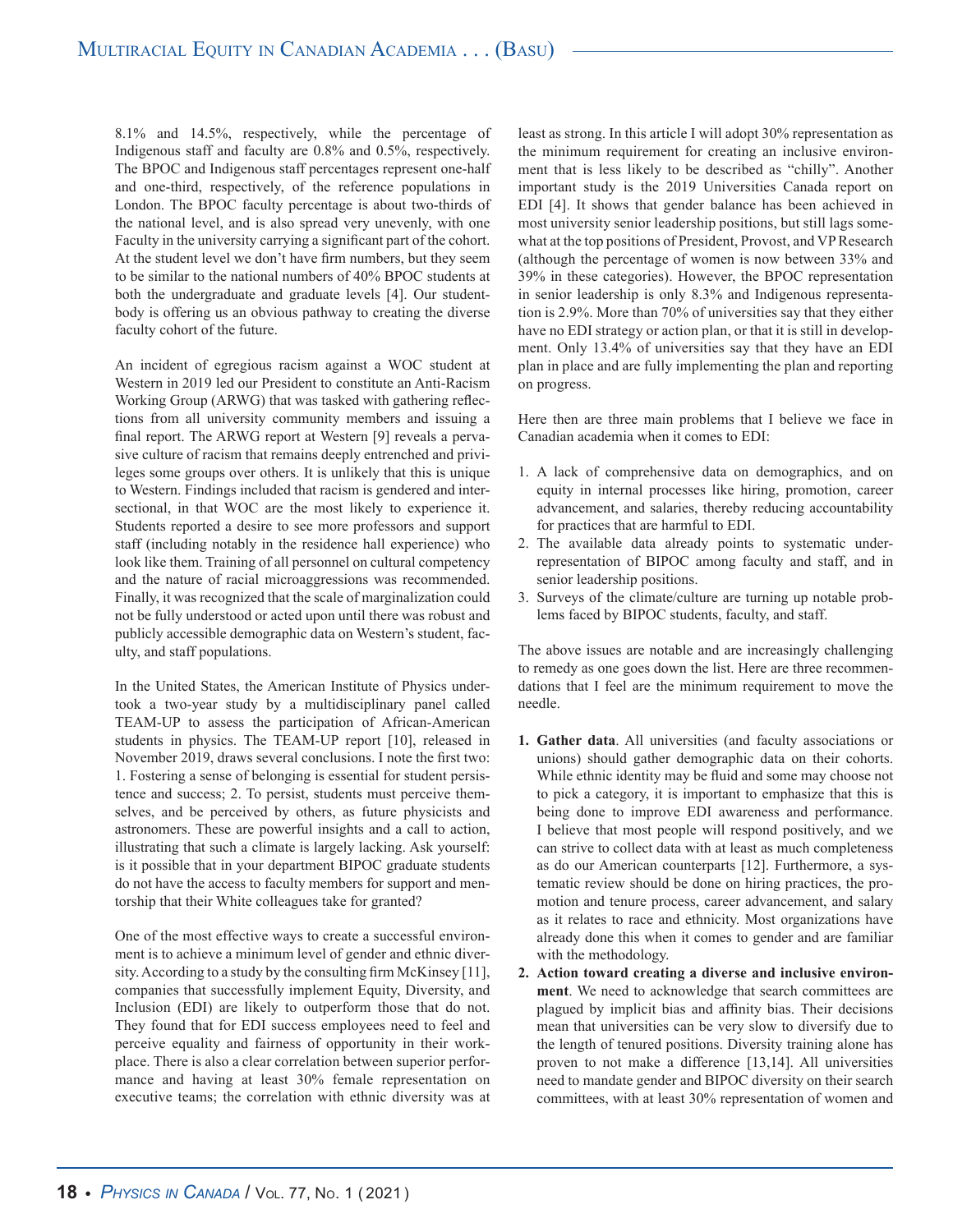8.1% and 14.5%, respectively, while the percentage of Indigenous staff and faculty are 0.8% and 0.5%, respectively. The BPOC and Indigenous staff percentages represent one-half and one-third, respectively, of the reference populations in London. The BPOC faculty percentage is about two-thirds of the national level, and is also spread very unevenly, with one Faculty in the university carrying a significant part of the cohort. At the student level we don't have firm numbers, but they seem to be similar to the national numbers of 40% BPOC students at both the undergraduate and graduate levels [4]. Our studentbody is offering us an obvious pathway to creating the diverse faculty cohort of the future.

An incident of egregious racism against a WOC student at Western in 2019 led our President to constitute an Anti-Racism Working Group (ARWG) that was tasked with gathering reflections from all university community members and issuing a final report. The ARWG report at Western [9] reveals a pervasive culture of racism that remains deeply entrenched and privileges some groups over others. It is unlikely that this is unique to Western. Findings included that racism is gendered and intersectional, in that WOC are the most likely to experience it. Students reported a desire to see more professors and support staff (including notably in the residence hall experience) who look like them. Training of all personnel on cultural competency and the nature of racial microaggressions was recommended. Finally, it was recognized that the scale of marginalization could not be fully understood or acted upon until there was robust and publicly accessible demographic data on Western's student, faculty, and staff populations.

In the United States, the American Institute of Physics undertook a two-year study by a multidisciplinary panel called TEAM-UP to assess the participation of African-American students in physics. The TEAM-UP report [10], released in November 2019, draws several conclusions. I note the first two: 1. Fostering a sense of belonging is essential for student persistence and success; 2. To persist, students must perceive themselves, and be perceived by others, as future physicists and astronomers. These are powerful insights and a call to action, illustrating that such a climate is largely lacking. Ask yourself: is it possible that in your department BIPOC graduate students do not have the access to faculty members for support and mentorship that their White colleagues take for granted?

One of the most effective ways to create a successful environment is to achieve a minimum level of gender and ethnic diversity. According to a study by the consulting firm McKinsey [11], companies that successfully implement Equity, Diversity, and Inclusion (EDI) are likely to outperform those that do not. They found that for EDI success employees need to feel and perceive equality and fairness of opportunity in their workplace. There is also a clear correlation between superior performance and having at least 30% female representation on executive teams; the correlation with ethnic diversity was at

least as strong. In this article I will adopt 30% representation as the minimum requirement for creating an inclusive environment that is less likely to be described as "chilly". Another important study is the 2019 Universities Canada report on EDI [4]. It shows that gender balance has been achieved in most university senior leadership positions, but still lags somewhat at the top positions of President, Provost, and VP Research (although the percentage of women is now between 33% and 39% in these categories). However, the BPOC representation in senior leadership is only 8.3% and Indigenous representation is 2.9%. More than 70% of universities say that they either have no EDI strategy or action plan, or that it is still in development. Only 13.4% of universities say that they have an EDI plan in place and are fully implementing the plan and reporting on progress.

Here then are three main problems that I believe we face in Canadian academia when it comes to EDI:

- 1. A lack of comprehensive data on demographics, and on equity in internal processes like hiring, promotion, career advancement, and salaries, thereby reducing accountability for practices that are harmful to EDI.
- 2. The available data already points to systematic underrepresentation of BIPOC among faculty and staff, and in senior leadership positions.
- 3. Surveys of the climate/culture are turning up notable problems faced by BIPOC students, faculty, and staff.

The above issues are notable and are increasingly challenging to remedy as one goes down the list. Here are three recommendations that I feel are the minimum requirement to move the needle.

- **1. Gather data**. All universities (and faculty associations or unions) should gather demographic data on their cohorts. While ethnic identity may be fluid and some may choose not to pick a category, it is important to emphasize that this is being done to improve EDI awareness and performance. I believe that most people will respond positively, and we can strive to collect data with at least as much completeness as do our American counterparts [12]. Furthermore, a systematic review should be done on hiring practices, the promotion and tenure process, career advancement, and salary as it relates to race and ethnicity. Most organizations have already done this when it comes to gender and are familiar with the methodology.
- **2. Action toward creating a diverse and inclusive environment**. We need to acknowledge that search committees are plagued by implicit bias and affinity bias. Their decisions mean that universities can be very slow to diversify due to the length of tenured positions. Diversity training alone has proven to not make a difference [13,14]. All universities need to mandate gender and BIPOC diversity on their search committees, with at least 30% representation of women and